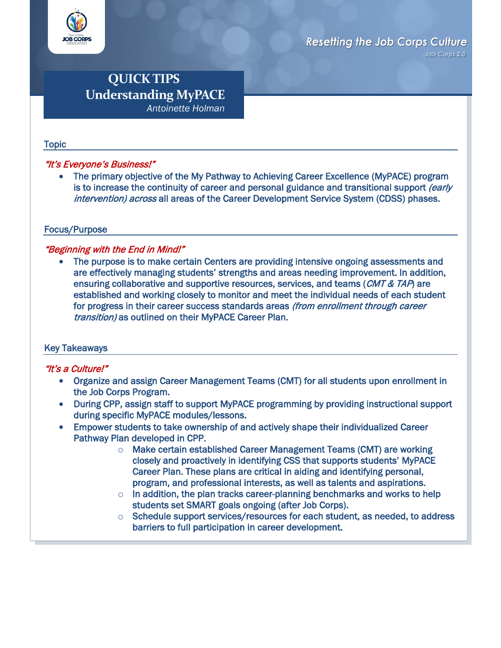

Job Corps 2.0

# **QUICK TIPS Understanding MyPACE**  *Antoinette Holman*

#### Topic

### "It's Everyone's Business!"

• The primary objective of the My Pathway to Achieving Career Excellence (MyPACE) program is to increase the continuity of career and personal guidance and transitional support *(early* intervention) across all areas of the Career Development Service System (CDSS) phases.

### Focus/Purpose

## "Beginning with the End in Mind!"

The purpose is to make certain Centers are providing intensive ongoing assessments and are effectively managing students' strengths and areas needing improvement. In addition, ensuring collaborative and supportive resources, services, and teams (CMT & TAP) are established and working closely to monitor and meet the individual needs of each student for progress in their career success standards areas (from enrollment through career transition) as outlined on their MyPACE Career Plan.

### Key Takeaways

### "It's a Culture!"

- Organize and assign Career Management Teams (CMT) for all students upon enrollment in the Job Corps Program.
- During CPP, assign staff to support MyPACE programming by providing instructional support during specific MyPACE modules/lessons.
- Empower students to take ownership of and actively shape their individualized Career Pathway Plan developed in CPP.
	- $\circ$  Make certain established Career Management Teams (CMT) are working closely and proactively in identifying CSS that supports students' MyPACE Career Plan. These plans are critical in aiding and identifying personal, program, and professional interests, as well as talents and aspirations.
	- $\circ$  In addition, the plan tracks career-planning benchmarks and works to help students set SMART goals ongoing (after Job Corps).
	- $\circ$  Schedule support services/resources for each student, as needed, to address barriers to full participation in career development.